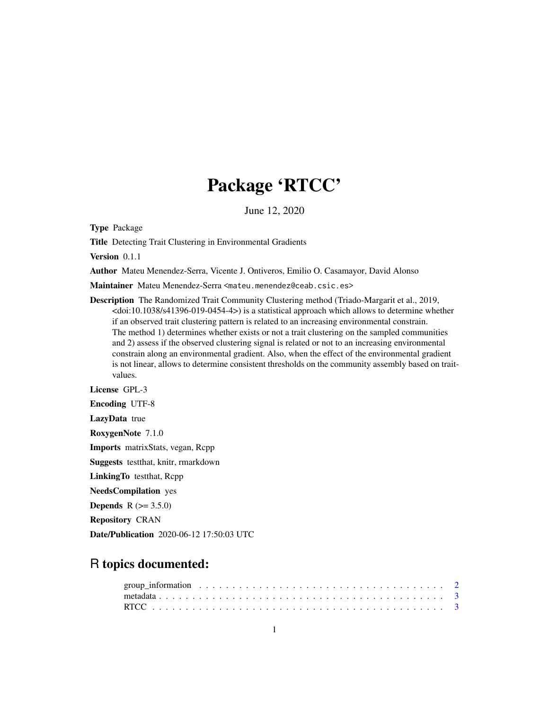# Package 'RTCC'

June 12, 2020

Type Package

Title Detecting Trait Clustering in Environmental Gradients

Version 0.1.1

Author Mateu Menendez-Serra, Vicente J. Ontiveros, Emilio O. Casamayor, David Alonso

Maintainer Mateu Menendez-Serra <mateu.menendez@ceab.csic.es>

Description The Randomized Trait Community Clustering method (Triado-Margarit et al., 2019, <doi:10.1038/s41396-019-0454-4>) is a statistical approach which allows to determine whether if an observed trait clustering pattern is related to an increasing environmental constrain. The method 1) determines whether exists or not a trait clustering on the sampled communities and 2) assess if the observed clustering signal is related or not to an increasing environmental constrain along an environmental gradient. Also, when the effect of the environmental gradient is not linear, allows to determine consistent thresholds on the community assembly based on traitvalues.

License GPL-3

Encoding UTF-8

LazyData true

RoxygenNote 7.1.0

Imports matrixStats, vegan, Rcpp

Suggests testthat, knitr, rmarkdown

LinkingTo testthat, Rcpp

NeedsCompilation yes

**Depends** R  $(>= 3.5.0)$ 

Repository CRAN

Date/Publication 2020-06-12 17:50:03 UTC

## R topics documented: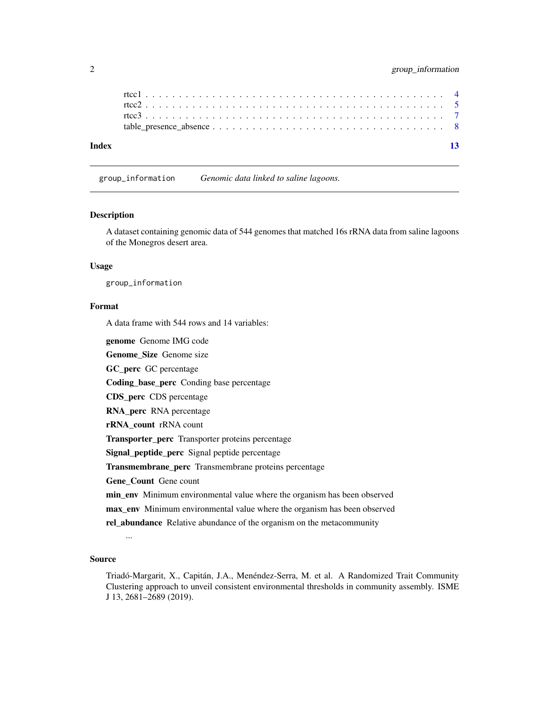| Index |  |  |  |  |  |  |  |  |  |  |  |  |  |  |
|-------|--|--|--|--|--|--|--|--|--|--|--|--|--|--|

group\_information *Genomic data linked to saline lagoons.*

#### Description

A dataset containing genomic data of 544 genomes that matched 16s rRNA data from saline lagoons of the Monegros desert area.

#### Usage

group\_information

#### Format

A data frame with 544 rows and 14 variables:

genome Genome IMG code

Genome\_Size Genome size

GC\_perc GC percentage

Coding\_base\_perc Conding base percentage

CDS\_perc CDS percentage

RNA\_perc RNA percentage

rRNA\_count rRNA count

Transporter\_perc Transporter proteins percentage

Signal\_peptide\_perc Signal peptide percentage

Transmembrane\_perc Transmembrane proteins percentage

Gene\_Count Gene count

min\_env Minimum environmental value where the organism has been observed

max env Minimum environmental value where the organism has been observed

rel\_abundance Relative abundance of the organism on the metacommunity

...

#### Source

Triadó-Margarit, X., Capitán, J.A., Menéndez-Serra, M. et al. A Randomized Trait Community Clustering approach to unveil consistent environmental thresholds in community assembly. ISME J 13, 2681–2689 (2019).

<span id="page-1-0"></span>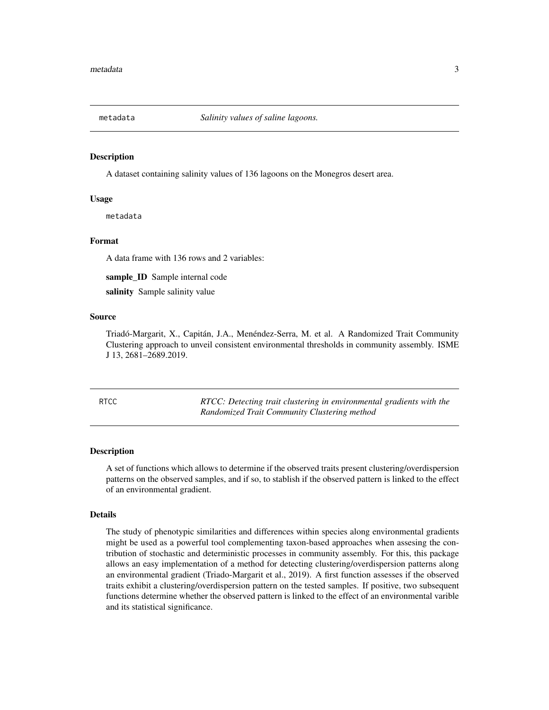<span id="page-2-0"></span>

#### Description

A dataset containing salinity values of 136 lagoons on the Monegros desert area.

#### Usage

metadata

#### Format

A data frame with 136 rows and 2 variables:

sample\_ID Sample internal code

salinity Sample salinity value

#### Source

Triadó-Margarit, X., Capitán, J.A., Menéndez-Serra, M. et al. A Randomized Trait Community Clustering approach to unveil consistent environmental thresholds in community assembly. ISME J 13, 2681–2689.2019.

RTCC *RTCC: Detecting trait clustering in environmental gradients with the Randomized Trait Community Clustering method*

#### Description

A set of functions which allows to determine if the observed traits present clustering/overdispersion patterns on the observed samples, and if so, to stablish if the observed pattern is linked to the effect of an environmental gradient.

#### Details

The study of phenotypic similarities and differences within species along environmental gradients might be used as a powerful tool complementing taxon-based approaches when assesing the contribution of stochastic and deterministic processes in community assembly. For this, this package allows an easy implementation of a method for detecting clustering/overdispersion patterns along an environmental gradient (Triado-Margarit et al., 2019). A first function assesses if the observed traits exhibit a clustering/overdispersion pattern on the tested samples. If positive, two subsequent functions determine whether the observed pattern is linked to the effect of an environmental varible and its statistical significance.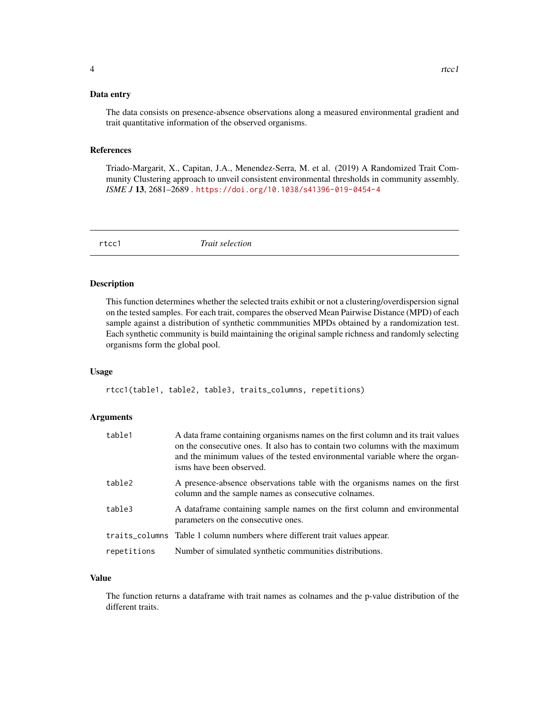#### <span id="page-3-0"></span>Data entry

The data consists on presence-absence observations along a measured environmental gradient and trait quantitative information of the observed organisms.

#### References

Triado-Margarit, X., Capitan, J.A., Menendez-Serra, M. et al. (2019) A Randomized Trait Community Clustering approach to unveil consistent environmental thresholds in community assembly. *ISME J* 13, 2681–2689 . <https://doi.org/10.1038/s41396-019-0454-4>

rtcc1 *Trait selection*

#### Description

This function determines whether the selected traits exhibit or not a clustering/overdispersion signal on the tested samples. For each trait, compares the observed Mean Pairwise Distance (MPD) of each sample against a distribution of synthetic commmunities MPDs obtained by a randomization test. Each synthetic community is build maintaining the original sample richness and randomly selecting organisms form the global pool.

#### Usage

rtcc1(table1, table2, table3, traits\_columns, repetitions)

#### Arguments

| table1      | A data frame containing organisms names on the first column and its trait values<br>on the consecutive ones. It also has to contain two columns with the maximum<br>and the minimum values of the tested environmental variable where the organ-<br>isms have been observed. |
|-------------|------------------------------------------------------------------------------------------------------------------------------------------------------------------------------------------------------------------------------------------------------------------------------|
| table2      | A presence-absence observations table with the organisms names on the first<br>column and the sample names as consecutive colnames.                                                                                                                                          |
| table3      | A data frame containing sample names on the first column and environmental<br>parameters on the consecutive ones.                                                                                                                                                            |
|             | traits_columns Table 1 column numbers where different trait values appear.                                                                                                                                                                                                   |
| repetitions | Number of simulated synthetic communities distributions.                                                                                                                                                                                                                     |

#### Value

The function returns a dataframe with trait names as colnames and the p-value distribution of the different traits.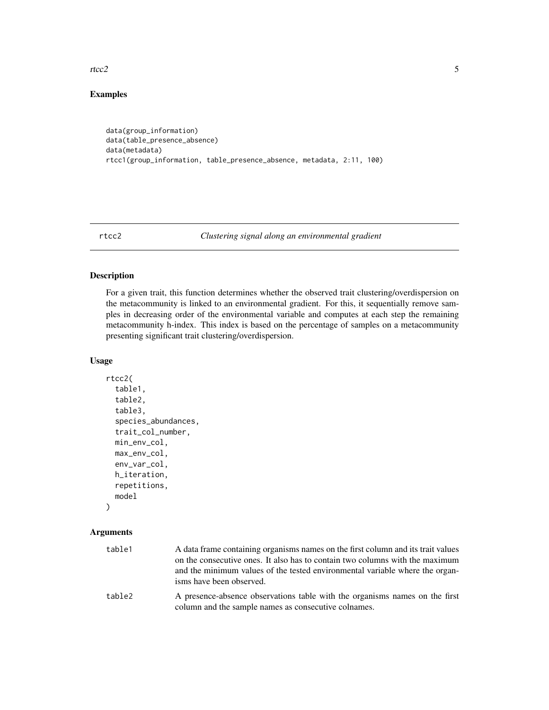<span id="page-4-0"></span>rtcc2 5

### Examples

```
data(group_information)
data(table_presence_absence)
data(metadata)
rtcc1(group_information, table_presence_absence, metadata, 2:11, 100)
```
rtcc2 *Clustering signal along an environmental gradient*

#### Description

For a given trait, this function determines whether the observed trait clustering/overdispersion on the metacommunity is linked to an environmental gradient. For this, it sequentially remove samples in decreasing order of the environmental variable and computes at each step the remaining metacommunity h-index. This index is based on the percentage of samples on a metacommunity presenting significant trait clustering/overdispersion.

#### Usage

```
rtcc2(
  table1,
  table2,
  table3,
  species_abundances,
  trait_col_number,
 min_env_col,
 max_env_col,
  env_var_col,
 h_iteration,
  repetitions,
 model
```
# )

#### Arguments

| table1 | A data frame containing organisms names on the first column and its trait values<br>on the consecutive ones. It also has to contain two columns with the maximum<br>and the minimum values of the tested environmental variable where the organ-<br>isms have been observed. |
|--------|------------------------------------------------------------------------------------------------------------------------------------------------------------------------------------------------------------------------------------------------------------------------------|
| table2 | A presence-absence observations table with the organisms names on the first<br>column and the sample names as consecutive colnames.                                                                                                                                          |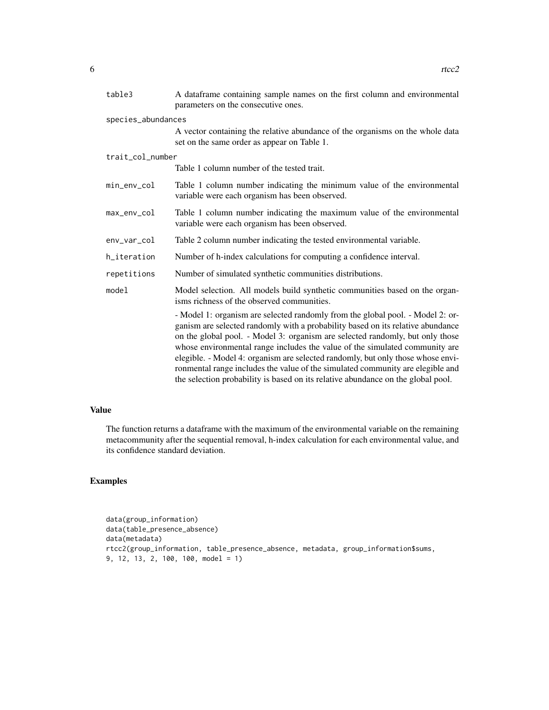| table3             | A dataframe containing sample names on the first column and environmental<br>parameters on the consecutive ones.                                                                                                                                                                                                                                                                                                                                                                                                                                                                           |
|--------------------|--------------------------------------------------------------------------------------------------------------------------------------------------------------------------------------------------------------------------------------------------------------------------------------------------------------------------------------------------------------------------------------------------------------------------------------------------------------------------------------------------------------------------------------------------------------------------------------------|
| species_abundances |                                                                                                                                                                                                                                                                                                                                                                                                                                                                                                                                                                                            |
|                    | A vector containing the relative abundance of the organisms on the whole data<br>set on the same order as appear on Table 1.                                                                                                                                                                                                                                                                                                                                                                                                                                                               |
| trait_col_number   |                                                                                                                                                                                                                                                                                                                                                                                                                                                                                                                                                                                            |
|                    | Table 1 column number of the tested trait.                                                                                                                                                                                                                                                                                                                                                                                                                                                                                                                                                 |
| min_env_col        | Table 1 column number indicating the minimum value of the environmental<br>variable were each organism has been observed.                                                                                                                                                                                                                                                                                                                                                                                                                                                                  |
| max_env_col        | Table 1 column number indicating the maximum value of the environmental<br>variable were each organism has been observed.                                                                                                                                                                                                                                                                                                                                                                                                                                                                  |
| env_var_col        | Table 2 column number indicating the tested environmental variable.                                                                                                                                                                                                                                                                                                                                                                                                                                                                                                                        |
| h_iteration        | Number of h-index calculations for computing a confidence interval.                                                                                                                                                                                                                                                                                                                                                                                                                                                                                                                        |
| repetitions        | Number of simulated synthetic communities distributions.                                                                                                                                                                                                                                                                                                                                                                                                                                                                                                                                   |
| model              | Model selection. All models build synthetic communities based on the organ-<br>isms richness of the observed communities.                                                                                                                                                                                                                                                                                                                                                                                                                                                                  |
|                    | - Model 1: organism are selected randomly from the global pool. - Model 2: or-<br>ganism are selected randomly with a probability based on its relative abundance<br>on the global pool. - Model 3: organism are selected randomly, but only those<br>whose environmental range includes the value of the simulated community are<br>elegible. - Model 4: organism are selected randomly, but only those whose envi-<br>ronmental range includes the value of the simulated community are elegible and<br>the selection probability is based on its relative abundance on the global pool. |

#### Value

The function returns a dataframe with the maximum of the environmental variable on the remaining metacommunity after the sequential removal, h-index calculation for each environmental value, and its confidence standard deviation.

#### Examples

```
data(group_information)
data(table_presence_absence)
data(metadata)
rtcc2(group_information, table_presence_absence, metadata, group_information$sums,
9, 12, 13, 2, 100, 100, model = 1)
```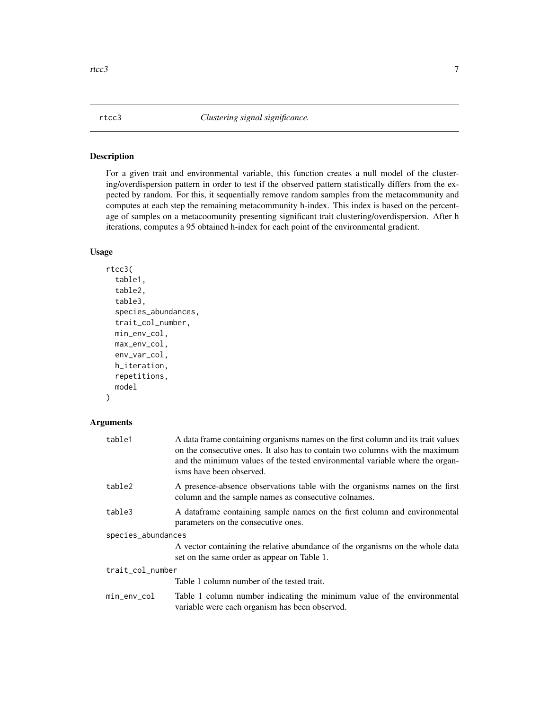#### <span id="page-6-0"></span>Description

For a given trait and environmental variable, this function creates a null model of the clustering/overdispersion pattern in order to test if the observed pattern statistically differs from the expected by random. For this, it sequentially remove random samples from the metacommunity and computes at each step the remaining metacommunity h-index. This index is based on the percentage of samples on a metacoomunity presenting significant trait clustering/overdispersion. After h iterations, computes a 95 obtained h-index for each point of the environmental gradient.

#### Usage

```
rtcc3(
  table1,
  table2,
  table3,
  species_abundances,
  trait_col_number,
 min_env_col,
 max_env_col,
  env_var_col,
  h_iteration,
  repetitions,
 model
```
)

#### Arguments

| table1             | A data frame containing organisms names on the first column and its trait values<br>on the consecutive ones. It also has to contain two columns with the maximum<br>and the minimum values of the tested environmental variable where the organ-<br>isms have been observed. |
|--------------------|------------------------------------------------------------------------------------------------------------------------------------------------------------------------------------------------------------------------------------------------------------------------------|
| table2             | A presence-absence observations table with the organisms names on the first<br>column and the sample names as consecutive colnames.                                                                                                                                          |
| table3             | A data frame containing sample names on the first column and environmental<br>parameters on the consecutive ones.                                                                                                                                                            |
| species_abundances |                                                                                                                                                                                                                                                                              |
|                    | A vector containing the relative abundance of the organisms on the whole data<br>set on the same order as appear on Table 1.                                                                                                                                                 |
| trait_col_number   |                                                                                                                                                                                                                                                                              |
|                    | Table 1 column number of the tested trait.                                                                                                                                                                                                                                   |
| min_env_col        | Table 1 column number indicating the minimum value of the environmental<br>variable were each organism has been observed.                                                                                                                                                    |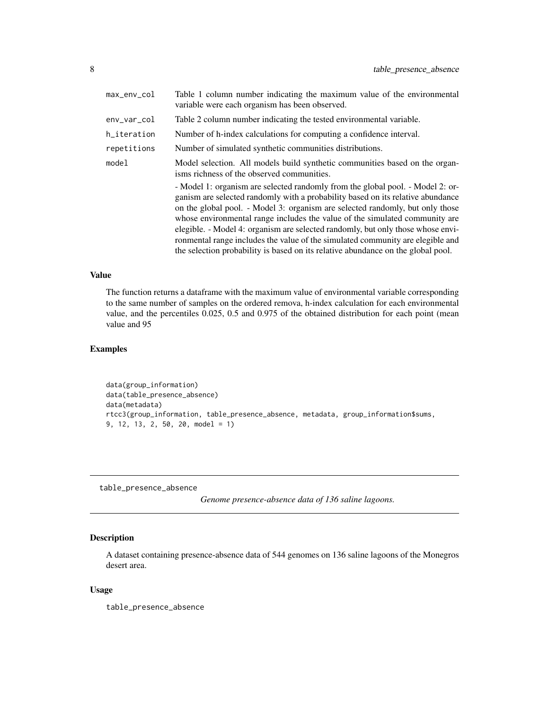<span id="page-7-0"></span>

| max_env_col | Table 1 column number indicating the maximum value of the environmental<br>variable were each organism has been observed.                                                                                                                                                                                                                                                                                                                                                                                                                                                                  |
|-------------|--------------------------------------------------------------------------------------------------------------------------------------------------------------------------------------------------------------------------------------------------------------------------------------------------------------------------------------------------------------------------------------------------------------------------------------------------------------------------------------------------------------------------------------------------------------------------------------------|
| env_var_col | Table 2 column number indicating the tested environmental variable.                                                                                                                                                                                                                                                                                                                                                                                                                                                                                                                        |
| h_iteration | Number of h-index calculations for computing a confidence interval.                                                                                                                                                                                                                                                                                                                                                                                                                                                                                                                        |
| repetitions | Number of simulated synthetic communities distributions.                                                                                                                                                                                                                                                                                                                                                                                                                                                                                                                                   |
| mode1       | Model selection. All models build synthetic communities based on the organ-<br>isms richness of the observed communities.                                                                                                                                                                                                                                                                                                                                                                                                                                                                  |
|             | - Model 1: organism are selected randomly from the global pool. - Model 2: or-<br>ganism are selected randomly with a probability based on its relative abundance<br>on the global pool. - Model 3: organism are selected randomly, but only those<br>whose environmental range includes the value of the simulated community are<br>elegible. - Model 4: organism are selected randomly, but only those whose envi-<br>ronmental range includes the value of the simulated community are elegible and<br>the selection probability is based on its relative abundance on the global pool. |

#### Value

The function returns a dataframe with the maximum value of environmental variable corresponding to the same number of samples on the ordered remova, h-index calculation for each environmental value, and the percentiles 0.025, 0.5 and 0.975 of the obtained distribution for each point (mean value and 95

#### Examples

```
data(group_information)
data(table_presence_absence)
data(metadata)
rtcc3(group_information, table_presence_absence, metadata, group_information$sums,
9, 12, 13, 2, 50, 20, model = 1)
```
table\_presence\_absence

*Genome presence-absence data of 136 saline lagoons.*

#### Description

A dataset containing presence-absence data of 544 genomes on 136 saline lagoons of the Monegros desert area.

#### Usage

table\_presence\_absence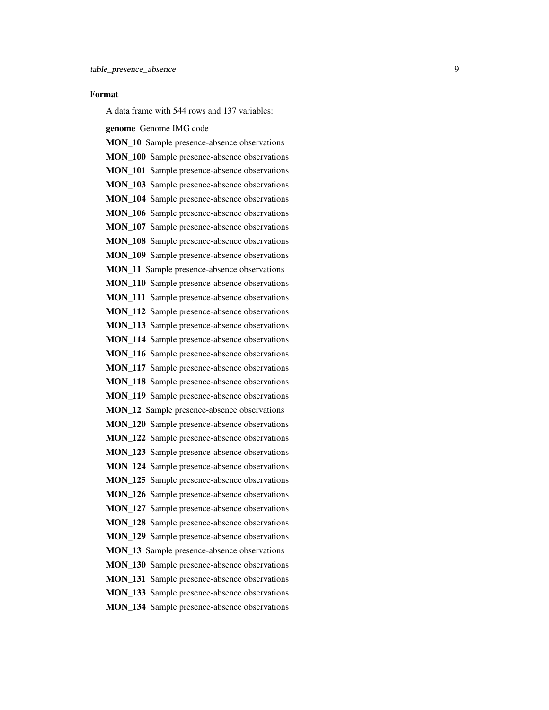#### Format

A data frame with 544 rows and 137 variables:

genome Genome IMG code

MON\_10 Sample presence-absence observations MON\_100 Sample presence-absence observations MON\_101 Sample presence-absence observations MON 103 Sample presence-absence observations MON 104 Sample presence-absence observations MON 106 Sample presence-absence observations MON\_107 Sample presence-absence observations MON\_108 Sample presence-absence observations MON\_109 Sample presence-absence observations MON 11 Sample presence-absence observations MON 110 Sample presence-absence observations MON\_111 Sample presence-absence observations MON\_112 Sample presence-absence observations MON\_113 Sample presence-absence observations MON\_114 Sample presence-absence observations MON\_116 Sample presence-absence observations MON\_117 Sample presence-absence observations MON\_118 Sample presence-absence observations MON 119 Sample presence-absence observations MON\_12 Sample presence-absence observations MON\_120 Sample presence-absence observations MON\_122 Sample presence-absence observations MON\_123 Sample presence-absence observations MON 124 Sample presence-absence observations MON 125 Sample presence-absence observations MON\_126 Sample presence-absence observations MON\_127 Sample presence-absence observations MON\_128 Sample presence-absence observations MON\_129 Sample presence-absence observations MON\_13 Sample presence-absence observations MON\_130 Sample presence-absence observations MON\_131 Sample presence-absence observations MON 133 Sample presence-absence observations MON\_134 Sample presence-absence observations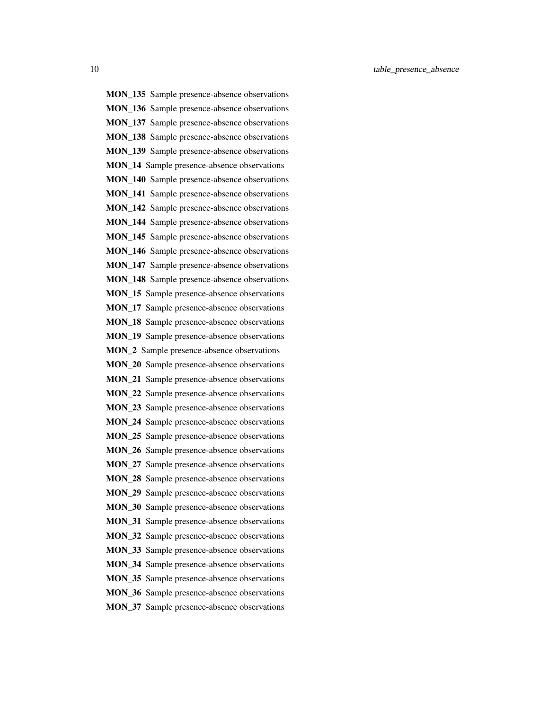MON\_135 Sample presence-absence observations MON\_136 Sample presence-absence observations MON 137 Sample presence-absence observations MON\_138 Sample presence-absence observations MON\_139 Sample presence-absence observations MON 14 Sample presence-absence observations MON\_140 Sample presence-absence observations MON\_141 Sample presence-absence observations MON 142 Sample presence-absence observations MON\_144 Sample presence-absence observations MON\_145 Sample presence-absence observations MON\_146 Sample presence-absence observations MON\_147 Sample presence-absence observations MON 148 Sample presence-absence observations MON 15 Sample presence-absence observations MON 17 Sample presence-absence observations MON 18 Sample presence-absence observations MON\_19 Sample presence-absence observations MON\_2 Sample presence-absence observations MON\_20 Sample presence-absence observations MON\_21 Sample presence-absence observations MON\_22 Sample presence-absence observations MON\_23 Sample presence-absence observations MON\_24 Sample presence-absence observations MON 25 Sample presence-absence observations MON 26 Sample presence-absence observations MON 27 Sample presence-absence observations MON\_28 Sample presence-absence observations MON\_29 Sample presence-absence observations MON\_30 Sample presence-absence observations MON\_31 Sample presence-absence observations MON\_32 Sample presence-absence observations MON\_33 Sample presence-absence observations MON\_34 Sample presence-absence observations MON\_35 Sample presence-absence observations MON 36 Sample presence-absence observations MON\_37 Sample presence-absence observations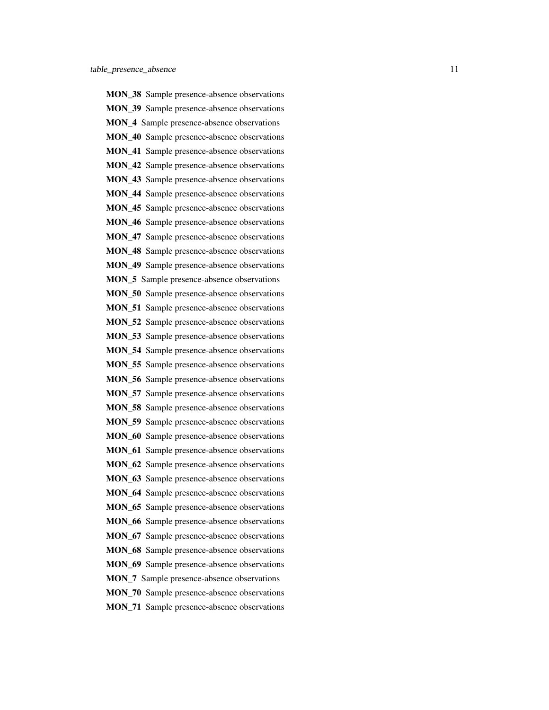MON\_38 Sample presence-absence observations MON\_39 Sample presence-absence observations MON 4 Sample presence-absence observations MON 40 Sample presence-absence observations MON 41 Sample presence-absence observations MON 42 Sample presence-absence observations MON\_43 Sample presence-absence observations MON 44 Sample presence-absence observations MON 45 Sample presence-absence observations MON\_46 Sample presence-absence observations MON\_47 Sample presence-absence observations MON\_48 Sample presence-absence observations MON\_49 Sample presence-absence observations MON 5 Sample presence-absence observations MON 50 Sample presence-absence observations MON 51 Sample presence-absence observations MON 52 Sample presence-absence observations MON\_53 Sample presence-absence observations MON 54 Sample presence-absence observations MON\_55 Sample presence-absence observations MON\_56 Sample presence-absence observations MON\_57 Sample presence-absence observations MON\_58 Sample presence-absence observations MON\_59 Sample presence-absence observations MON 60 Sample presence-absence observations MON 61 Sample presence-absence observations MON 62 Sample presence-absence observations MON\_63 Sample presence-absence observations MON\_64 Sample presence-absence observations MON\_65 Sample presence-absence observations MON\_66 Sample presence-absence observations MON\_67 Sample presence-absence observations MON\_68 Sample presence-absence observations MON\_69 Sample presence-absence observations MON\_7 Sample presence-absence observations MON 70 Sample presence-absence observations MON\_71 Sample presence-absence observations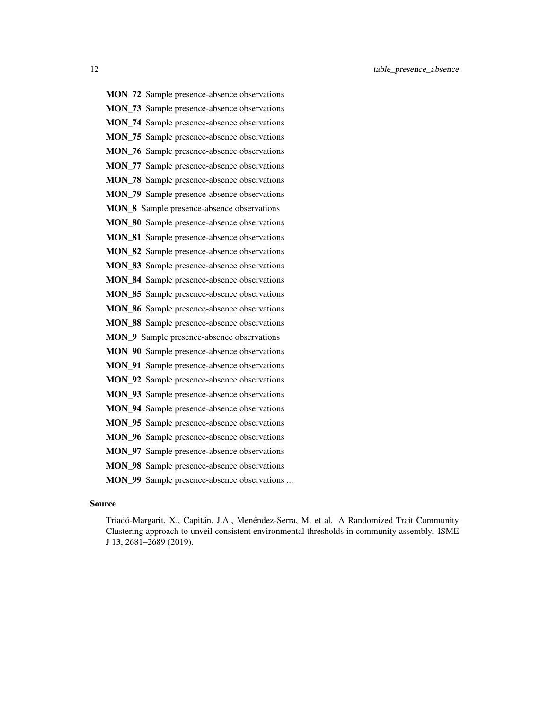MON\_72 Sample presence-absence observations MON\_73 Sample presence-absence observations MON 74 Sample presence-absence observations MON\_75 Sample presence-absence observations MON\_76 Sample presence-absence observations MON\_77 Sample presence-absence observations MON 78 Sample presence-absence observations MON 79 Sample presence-absence observations MON 8 Sample presence-absence observations MON\_80 Sample presence-absence observations MON\_81 Sample presence-absence observations MON\_82 Sample presence-absence observations MON\_83 Sample presence-absence observations MON\_84 Sample presence-absence observations MON\_85 Sample presence-absence observations MON\_86 Sample presence-absence observations MON\_88 Sample presence-absence observations MON\_9 Sample presence-absence observations MON 90 Sample presence-absence observations MON\_91 Sample presence-absence observations MON\_92 Sample presence-absence observations MON\_93 Sample presence-absence observations MON\_94 Sample presence-absence observations MON\_95 Sample presence-absence observations MON\_96 Sample presence-absence observations MON 97 Sample presence-absence observations

- MON 98 Sample presence-absence observations
- MON 99 Sample presence-absence observations ...

#### Source

Triadó-Margarit, X., Capitán, J.A., Menéndez-Serra, M. et al. A Randomized Trait Community Clustering approach to unveil consistent environmental thresholds in community assembly. ISME J 13, 2681–2689 (2019).